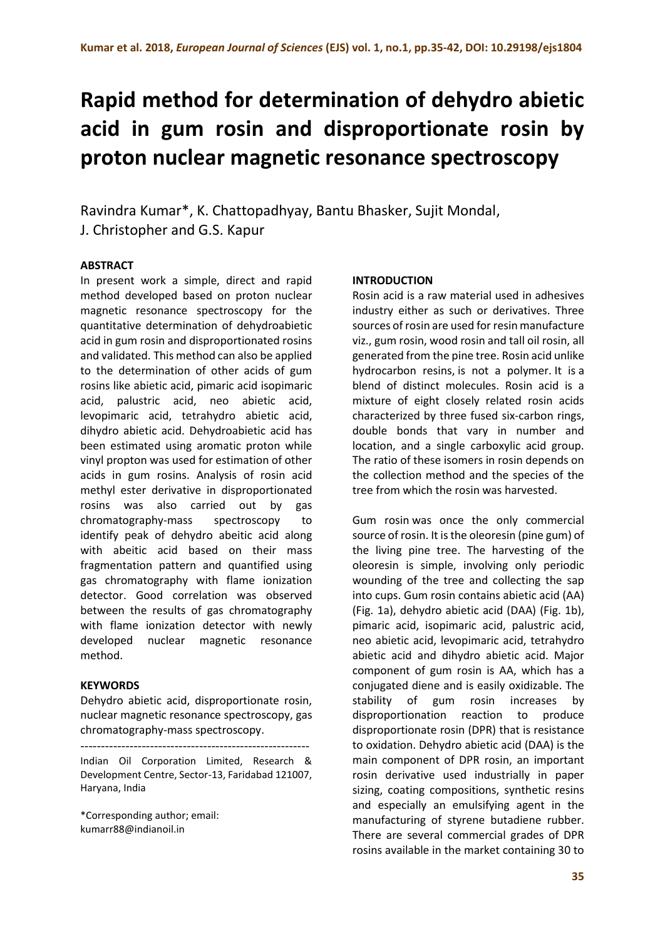# **Rapid method for determination of dehydro abietic acid in gum rosin and disproportionate rosin by proton nuclear magnetic resonance spectroscopy**

Ravindra Kumar\*, K. Chattopadhyay, Bantu Bhasker, Sujit Mondal, J. Christopher and G.S. Kapur

## **ABSTRACT**

In present work a simple, direct and rapid method developed based on proton nuclear magnetic resonance spectroscopy for the quantitative determination of dehydroabietic acid in gum rosin and disproportionated rosins and validated. This method can also be applied to the determination of other acids of gum rosins like abietic acid, pimaric acid isopimaric acid, palustric acid, neo abietic acid, levopimaric acid, tetrahydro abietic acid, dihydro abietic acid. Dehydroabietic acid has been estimated using aromatic proton while vinyl propton was used for estimation of other acids in gum rosins. Analysis of rosin acid methyl ester derivative in disproportionated rosins was also carried out by gas chromatography-mass spectroscopy to identify peak of dehydro abeitic acid along with abeitic acid based on their mass fragmentation pattern and quantified using gas chromatography with flame ionization detector. Good correlation was observed between the results of gas chromatography with flame ionization detector with newly developed nuclear magnetic resonance method.

#### **KEYWORDS**

Dehydro abietic acid, disproportionate rosin, nuclear magnetic resonance spectroscopy, gas chromatography-mass spectroscopy.

--------------------------------------------------------

Indian Oil Corporation Limited, Research & Development Centre, Sector-13, Faridabad 121007, Haryana, India

\*Corresponding author; email: kumarr88@indianoil.in

## **INTRODUCTION**

Rosin acid is a raw material used in adhesives industry either as such or derivatives. Three sources of rosin are used for resin manufacture viz., gum rosin, wood rosin and tall oil rosin, all generated from the pine tree. Rosin acid unlike hydrocarbon resins, is not a polymer. It is a blend of distinct molecules. Rosin acid is a mixture of eight closely related rosin acids characterized by three fused six-carbon rings, double bonds that vary in number and location, and a single carboxylic acid group. The ratio of these isomers in rosin depends on the collection method and the species of the tree from which the rosin was harvested.

Gum rosin was once the only commercial source of rosin. It is the oleoresin (pine gum) of the living pine tree. The harvesting of the oleoresin is simple, involving only periodic wounding of the tree and collecting the sap into cups. Gum rosin contains abietic acid (AA) (Fig. 1a), dehydro abietic acid (DAA) (Fig. 1b), pimaric acid, isopimaric acid, palustric acid, neo abietic acid, levopimaric acid, tetrahydro abietic acid and dihydro abietic acid. Major component of gum rosin is AA, which has a conjugated diene and is easily oxidizable. The stability of gum rosin increases by disproportionation reaction to produce disproportionate rosin (DPR) that is resistance to oxidation. Dehydro abietic acid (DAA) is the main component of DPR rosin, an important rosin derivative used industrially in paper sizing, coating compositions, synthetic resins and especially an emulsifying agent in the manufacturing of styrene butadiene rubber. There are several commercial grades of DPR rosins available in the market containing 30 to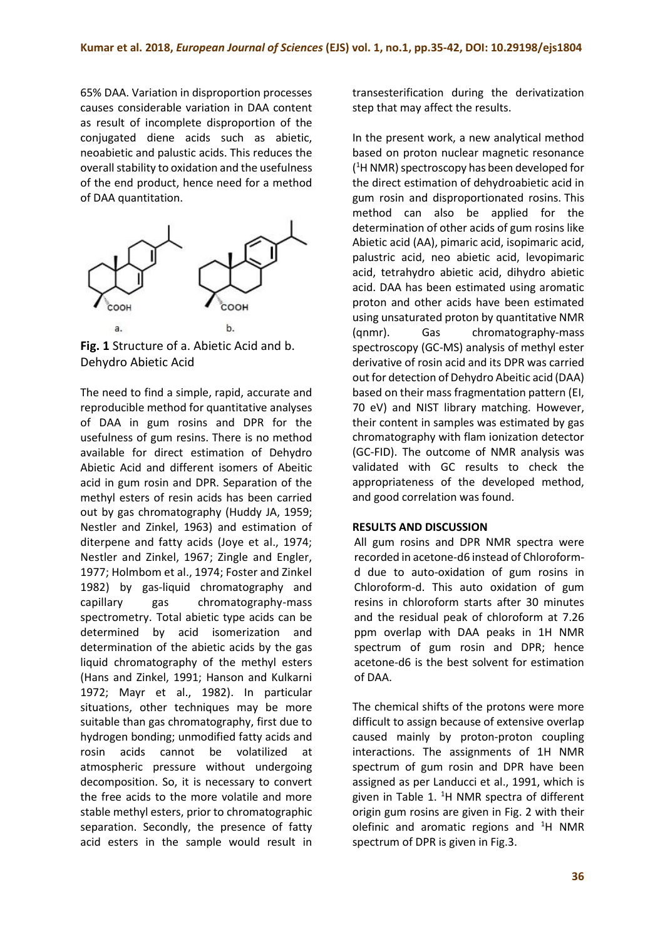65% DAA. Variation in disproportion processes causes considerable variation in DAA content as result of incomplete disproportion of the conjugated diene acids such as abietic, neoabietic and palustic acids. This reduces the overall stability to oxidation and the usefulness of the end product, hence need for a method of DAA quantitation.



**Fig. 1** Structure of a. Abietic Acid and b. Dehydro Abietic Acid

The need to find a simple, rapid, accurate and reproducible method for quantitative analyses of DAA in gum rosins and DPR for the usefulness of gum resins. There is no method available for direct estimation of Dehydro Abietic Acid and different isomers of Abeitic acid in gum rosin and DPR. Separation of the methyl esters of resin acids has been carried out by gas chromatography (Huddy JA, 1959; Nestler and Zinkel, 1963) and estimation of diterpene and fatty acids (Joye et al., 1974; Nestler and Zinkel, 1967; Zingle and Engler, 1977; Holmbom et al., 1974; Foster and Zinkel 1982) by gas-liquid chromatography and capillary gas chromatography-mass spectrometry. Total abietic type acids can be determined by acid isomerization and determination of the abietic acids by the gas liquid chromatography of the methyl esters (Hans and Zinkel, 1991; Hanson and Kulkarni 1972; Mayr et al., 1982). In particular situations, other techniques may be more suitable than gas chromatography, first due to hydrogen bonding; unmodified fatty acids and rosin acids cannot be volatilized at atmospheric pressure without undergoing decomposition. So, it is necessary to convert the free acids to the more volatile and more stable methyl esters, prior to chromatographic separation. Secondly, the presence of fatty acid esters in the sample would result in

transesterification during the derivatization step that may affect the results.

In the present work, a new analytical method based on proton nuclear magnetic resonance ( <sup>1</sup>H NMR) spectroscopy has been developed for the direct estimation of dehydroabietic acid in gum rosin and disproportionated rosins. This method can also be applied for the determination of other acids of gum rosins like Abietic acid (AA), pimaric acid, isopimaric acid, palustric acid, neo abietic acid, levopimaric acid, tetrahydro abietic acid, dihydro abietic acid. DAA has been estimated using aromatic proton and other acids have been estimated using unsaturated proton by quantitative NMR (qnmr). Gas chromatography-mass spectroscopy (GC-MS) analysis of methyl ester derivative of rosin acid and its DPR was carried out for detection of Dehydro Abeitic acid (DAA) based on their mass fragmentation pattern (EI, 70 eV) and NIST library matching. However, their content in samples was estimated by gas chromatography with flam ionization detector (GC-FID). The outcome of NMR analysis was validated with GC results to check the appropriateness of the developed method, and good correlation was found.

#### **RESULTS AND DISCUSSION**

All gum rosins and DPR NMR spectra were recorded in acetone-d6 instead of Chloroformd due to auto-oxidation of gum rosins in Chloroform-d. This auto oxidation of gum resins in chloroform starts after 30 minutes and the residual peak of chloroform at 7.26 ppm overlap with DAA peaks in 1H NMR spectrum of gum rosin and DPR; hence acetone-d6 is the best solvent for estimation of DAA.

The chemical shifts of the protons were more difficult to assign because of extensive overlap caused mainly by proton-proton coupling interactions. The assignments of 1H NMR spectrum of gum rosin and DPR have been assigned as per Landucci et al., 1991, which is given in Table 1. <sup>1</sup>H NMR spectra of different origin gum rosins are given in Fig. 2 with their olefinic and aromatic regions and  ${}^{1}$ H NMR spectrum of DPR is given in Fig.3.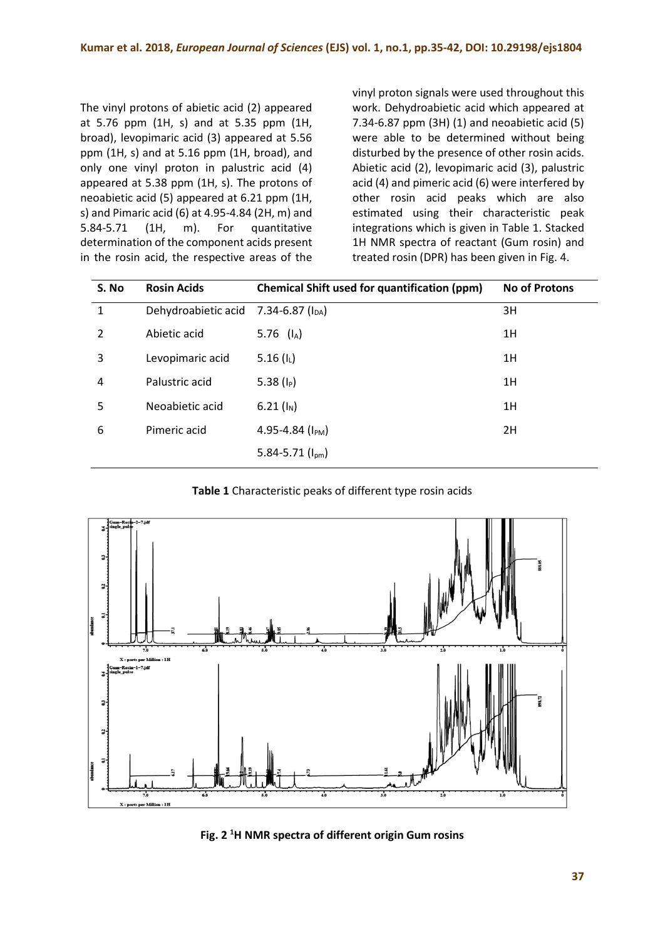The vinyl protons of abietic acid (2) appeared at 5.76 ppm (1H, s) and at 5.35 ppm (1H, broad), levopimaric acid (3) appeared at 5.56 ppm (1H, s) and at 5.16 ppm (1H, broad), and only one vinyl proton in palustric acid (4) appeared at 5.38 ppm (1H, s). The protons of neoabietic acid (5) appeared at 6.21 ppm (1H, s) and Pimaric acid (6) at 4.95-4.84 (2H, m) and 5.84-5.71 (1H, m). For quantitative determination of the component acids present in the rosin acid, the respective areas of the

vinyl proton signals were used throughout this work. Dehydroabietic acid which appeared at 7.34-6.87 ppm (3H) (1) and neoabietic acid (5) were able to be determined without being disturbed by the presence of other rosin acids. Abietic acid (2), levopimaric acid (3), palustric acid (4) and pimeric acid (6) were interfered by other rosin acid peaks which are also estimated using their characteristic peak integrations which is given in Table 1. Stacked 1H NMR spectra of reactant (Gum rosin) and treated rosin (DPR) has been given in Fig. 4.

| S. No          | <b>Rosin Acids</b>  | <b>Chemical Shift used for quantification (ppm)</b> | <b>No of Protons</b> |
|----------------|---------------------|-----------------------------------------------------|----------------------|
| 1              | Dehydroabietic acid | 7.34-6.87 ( $I_{DA}$ )                              | 3H                   |
| $\overline{2}$ | Abietic acid        | 5.76 $(I_A)$                                        | 1H                   |
| 3              | Levopimaric acid    | 5.16 $(I_L)$                                        | 1H                   |
| 4              | Palustric acid      | 5.38 $(I_P)$                                        | 1H                   |
| 5              | Neoabietic acid     | 6.21 $(I_N)$                                        | 1H                   |
| 6              | Pimeric acid        | 4.95-4.84 $(I_{PM})$                                | 2H                   |
|                |                     | 5.84-5.71 $(l_{pm})$                                |                      |

**Table 1** Characteristic peaks of different type rosin acids



**Fig. 2 <sup>1</sup>H NMR spectra of different origin Gum rosins**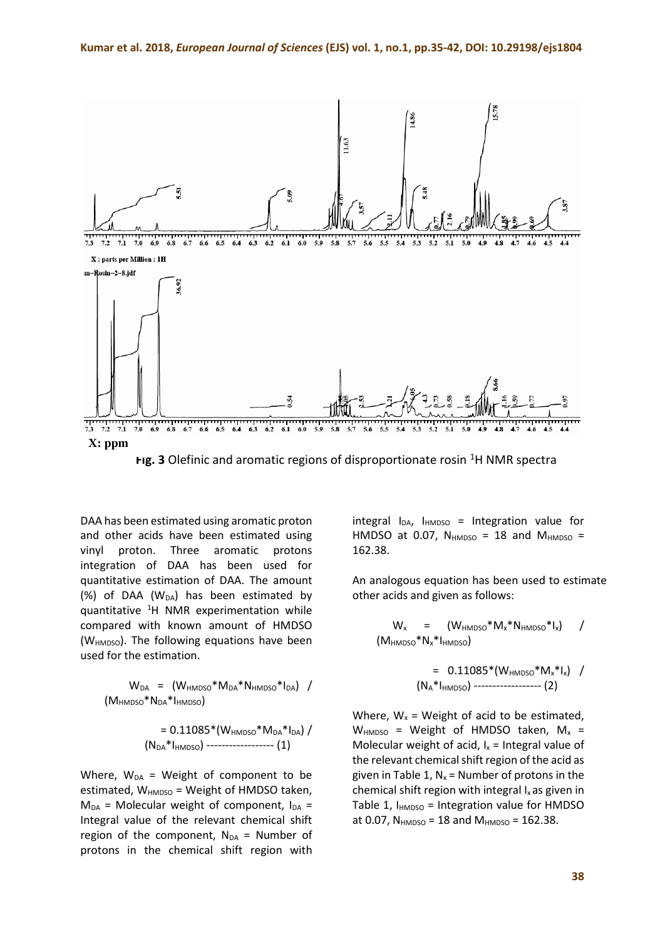

 **Fig. 3** Olefinic and aromatic regions of disproportionate rosin <sup>1</sup>H NMR spectra

DAA has been estimated using aromatic proton and other acids have been estimated using vinyl proton. Three aromatic protons integration of DAA has been used for quantitative estimation of DAA. The amount (%) of DAA ( $W<sub>DA</sub>$ ) has been estimated by quantitative  ${}^{1}H$  NMR experimentation while compared with known amount of HMDSO ( $W<sub>HMDSO</sub>$ ). The following equations have been used for the estimation.

> $W_{DA}$  =  $(W_{HMDSO} * M_{DA} * N_{HMDSO} * I_{DA})$  / (M<sub>HMDSO</sub>\*N<sub>DA</sub>\*I<sub>HMDSO</sub>)

$$
= 0.11085*(W_{HMDSO} * M_{DA} * I_{DA}) / (N_{DA} * I_{HMDSO})
$$
-----(1)

Where,  $W_{DA}$  = Weight of component to be estimated,  $W_{HMDSO}$  = Weight of HMDSO taken,  $M<sub>DA</sub>$  = Molecular weight of component,  $I<sub>DA</sub>$  = Integral value of the relevant chemical shift region of the component,  $N_{DA}$  = Number of protons in the chemical shift region with

integral  $I_{DA}$ ,  $I_{HMDSO}$  = Integration value for HMDSO at 0.07,  $N_{HMDSO} = 18$  and  $M_{HMDSO} =$ 162.38.

An analogous equation has been used to estimate other acids and given as follows:

 $W_x$  =  $(W_{HMDSO} * M_x * N_{HMDSO} * I_x)$  / (MHMDSO\*Nx\*IHMDSO)

> $= 0.11085*(W_{HMDSO} * M_{x}*I_{x})$  / (NA\*IHMDSO) ------------------ (2)

Where,  $W_x$  = Weight of acid to be estimated,  $W_{HMDSO}$  = Weight of HMDSO taken,  $M_x$  = Molecular weight of acid,  $I_x$  = Integral value of the relevant chemical shift region of the acid as given in Table 1,  $N_x$  = Number of protons in the chemical shift region with integral  $I_x$  as given in Table 1,  $I_{HMDSO}$  = Integration value for HMDSO at 0.07,  $N_{HMDSO} = 18$  and  $M_{HMDSO} = 162.38$ .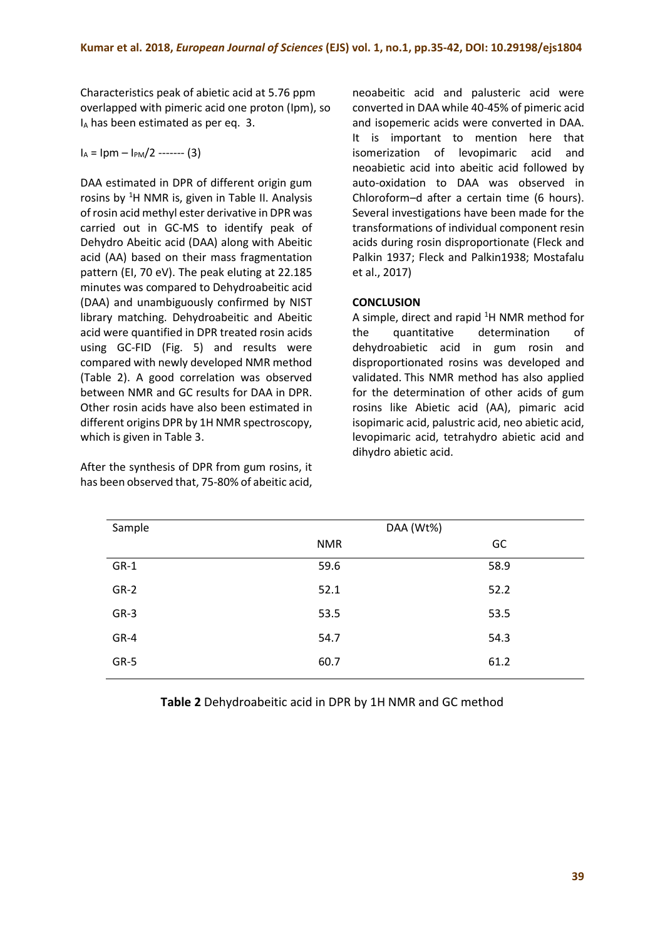Characteristics peak of abietic acid at 5.76 ppm overlapped with pimeric acid one proton (Ipm), so I<sub>A</sub> has been estimated as per eq. 3.

$$
I_A = 1pm - I_{PM}/2
$$
----- (3)

DAA estimated in DPR of different origin gum rosins by <sup>1</sup>H NMR is, given in Table II. Analysis of rosin acid methyl ester derivative in DPR was carried out in GC-MS to identify peak of Dehydro Abeitic acid (DAA) along with Abeitic acid (AA) based on their mass fragmentation pattern (EI, 70 eV). The peak eluting at 22.185 minutes was compared to Dehydroabeitic acid (DAA) and unambiguously confirmed by NIST library matching. Dehydroabeitic and Abeitic acid were quantified in DPR treated rosin acids using GC-FID (Fig. 5) and results were compared with newly developed NMR method (Table 2). A good correlation was observed between NMR and GC results for DAA in DPR. Other rosin acids have also been estimated in different origins DPR by 1H NMR spectroscopy, which is given in Table 3.

After the synthesis of DPR from gum rosins, it has been observed that, 75-80% of abeitic acid,

neoabeitic acid and palusteric acid were converted in DAA while 40-45% of pimeric acid and isopemeric acids were converted in DAA. It is important to mention here that isomerization of levopimaric acid and neoabietic acid into abeitic acid followed by auto-oxidation to DAA was observed in Chloroform–d after a certain time (6 hours). Several investigations have been made for the transformations of individual component resin acids during rosin disproportionate (Fleck and Palkin 1937; Fleck and Palkin1938; Mostafalu et al., 2017)

## **CONCLUSION**

A simple, direct and rapid  $1H$  NMR method for the quantitative determination of dehydroabietic acid in gum rosin and disproportionated rosins was developed and validated. This NMR method has also applied for the determination of other acids of gum rosins like Abietic acid (AA), pimaric acid isopimaric acid, palustric acid, neo abietic acid, levopimaric acid, tetrahydro abietic acid and dihydro abietic acid.

| Sample | DAA (Wt%)  |      |
|--------|------------|------|
|        | <b>NMR</b> | GC   |
| $GR-1$ | 59.6       | 58.9 |
| $GR-2$ | 52.1       | 52.2 |
| $GR-3$ | 53.5       | 53.5 |
| GR-4   | 54.7       | 54.3 |
| $GR-5$ | 60.7       | 61.2 |

**Table 2** Dehydroabeitic acid in DPR by 1H NMR and GC method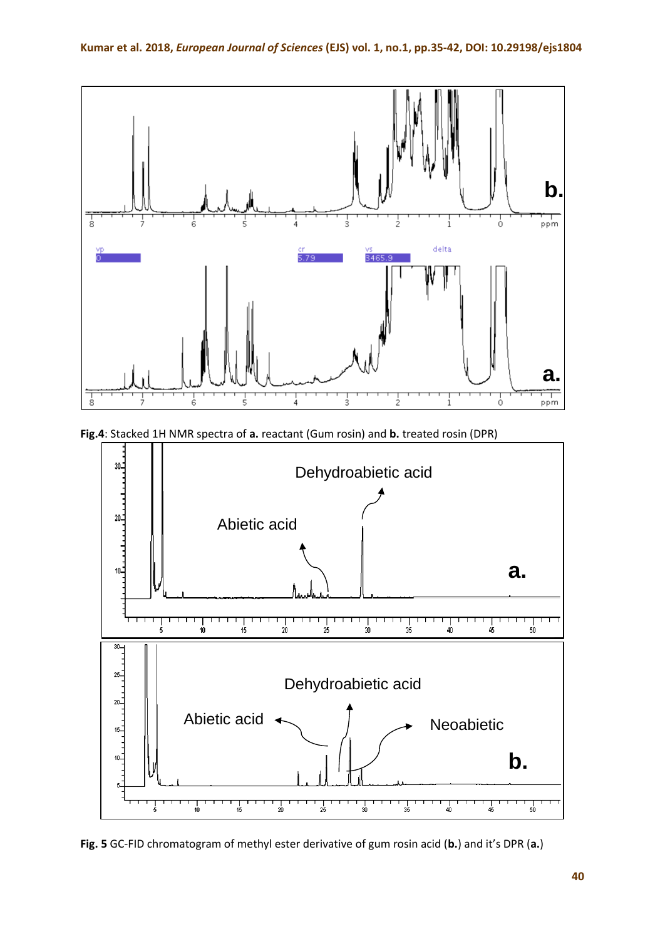

**Fig.4**: Stacked 1H NMR spectra of **a.** reactant (Gum rosin) and **b.** treated rosin (DPR)



**Fig. 5** GC-FID chromatogram of methyl ester derivative of gum rosin acid (**b.**) and it's DPR (**a.**)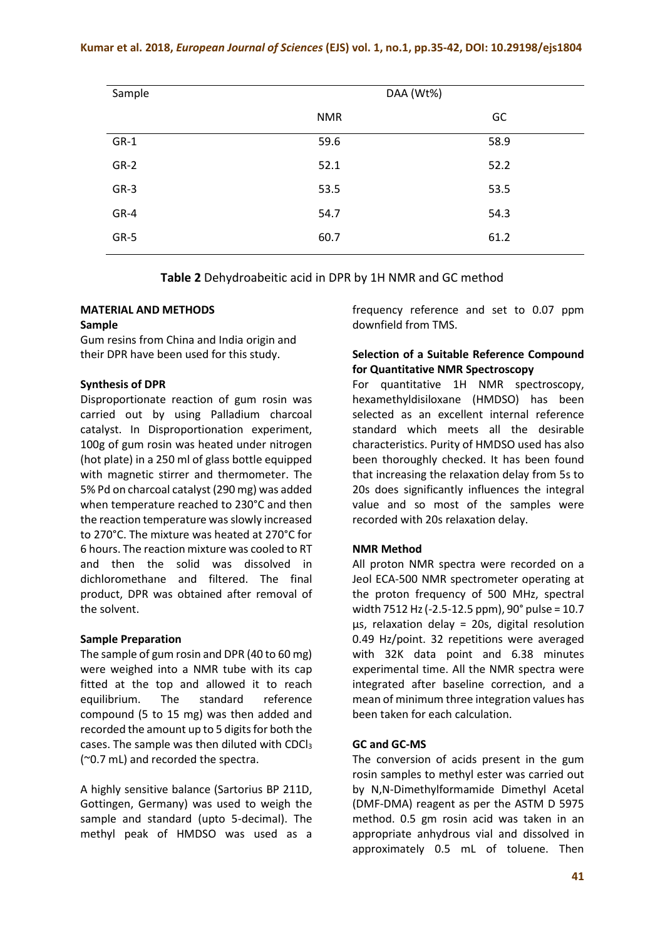#### **Kumar et al. 2018,** *European Journal of Sciences* **(EJS) vol. 1, no.1, pp.35-42, DOI: 10.29198/ejs1804**

| Sample | DAA (Wt%)  |      |
|--------|------------|------|
|        | <b>NMR</b> | GC   |
| $GR-1$ | 59.6       | 58.9 |
| $GR-2$ | 52.1       | 52.2 |
| $GR-3$ | 53.5       | 53.5 |
| GR-4   | 54.7       | 54.3 |
| GR-5   | 60.7       | 61.2 |

**Table 2** Dehydroabeitic acid in DPR by 1H NMR and GC method

# **MATERIAL AND METHODS**

#### **Sample**

Gum resins from China and India origin and their DPR have been used for this study.

## **Synthesis of DPR**

Disproportionate reaction of gum rosin was carried out by using Palladium charcoal catalyst. In Disproportionation experiment, 100g of gum rosin was heated under nitrogen (hot plate) in a 250 ml of glass bottle equipped with magnetic stirrer and thermometer. The 5% Pd on charcoal catalyst (290 mg) was added when temperature reached to 230°C and then the reaction temperature was slowly increased to 270°C. The mixture was heated at 270°C for 6 hours. The reaction mixture was cooled to RT and then the solid was dissolved in dichloromethane and filtered. The final product, DPR was obtained after removal of the solvent.

#### **Sample Preparation**

The sample of gum rosin and DPR (40 to 60 mg) were weighed into a NMR tube with its cap fitted at the top and allowed it to reach equilibrium. The standard reference compound (5 to 15 mg) was then added and recorded the amount up to 5 digits for both the cases. The sample was then diluted with CDCl $_3$ (~0.7 mL) and recorded the spectra.

A highly sensitive balance (Sartorius BP 211D, Gottingen, Germany) was used to weigh the sample and standard (upto 5-decimal). The methyl peak of HMDSO was used as a

frequency reference and set to 0.07 ppm downfield from TMS.

# **Selection of a Suitable Reference Compound for Quantitative NMR Spectroscopy**

For quantitative 1H NMR spectroscopy, hexamethyldisiloxane (HMDSO) has been selected as an excellent internal reference standard which meets all the desirable characteristics. Purity of HMDSO used has also been thoroughly checked. It has been found that increasing the relaxation delay from 5s to 20s does significantly influences the integral value and so most of the samples were recorded with 20s relaxation delay.

## **NMR Method**

All proton NMR spectra were recorded on a Jeol ECA-500 NMR spectrometer operating at the proton frequency of 500 MHz, spectral width 7512 Hz (-2.5-12.5 ppm), 90° pulse = 10.7 µs, relaxation delay = 20s, digital resolution 0.49 Hz/point. 32 repetitions were averaged with 32K data point and 6.38 minutes experimental time. All the NMR spectra were integrated after baseline correction, and a mean of minimum three integration values has been taken for each calculation.

#### **GC and GC-MS**

The conversion of acids present in the gum rosin samples to methyl ester was carried out by N,N-Dimethylformamide Dimethyl Acetal (DMF-DMA) reagent as per the ASTM D 5975 method. 0.5 gm rosin acid was taken in an appropriate anhydrous vial and dissolved in approximately 0.5 mL of toluene. Then